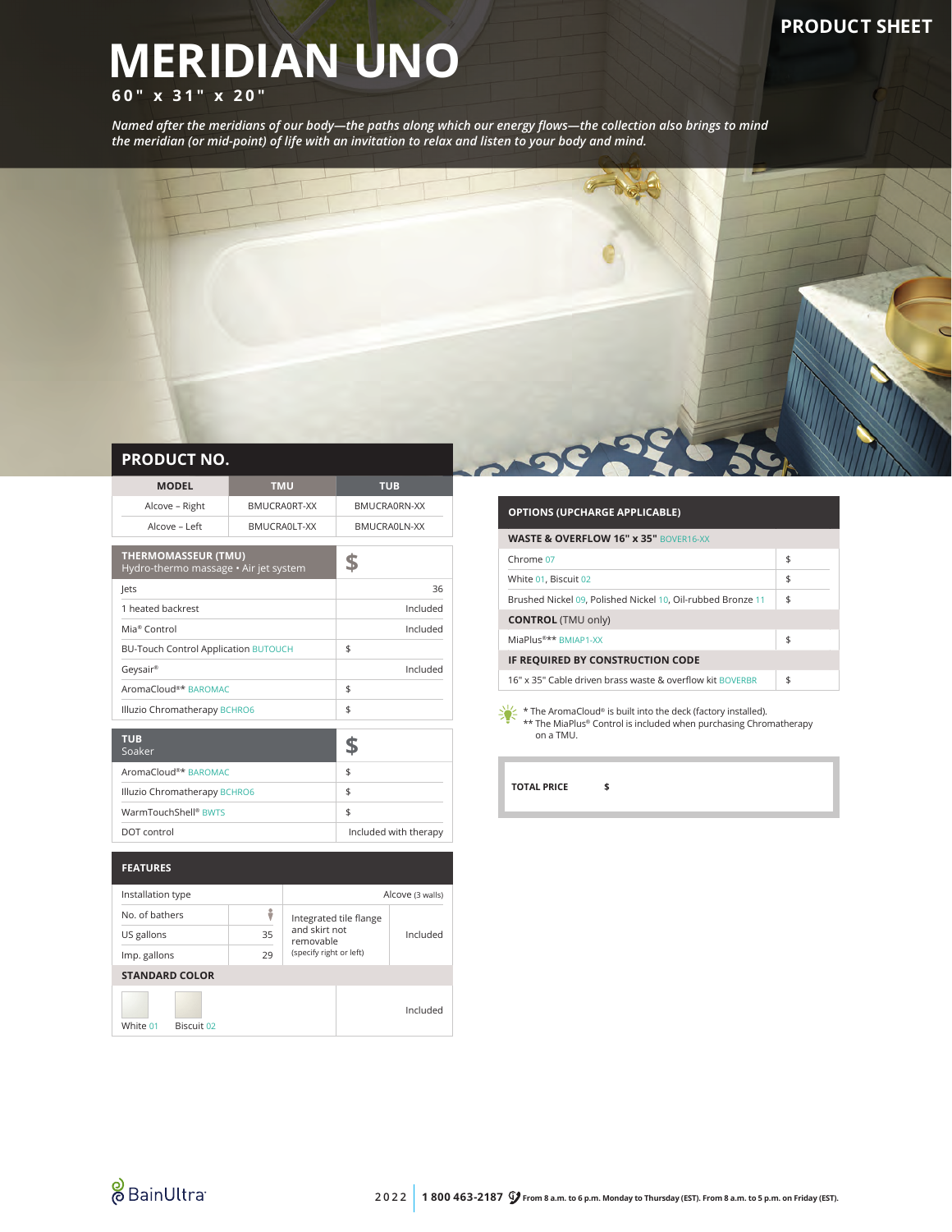# **MERIDIAN UNO**

## **60" x 31" x 20"**

*Named after the meridians of our body—the paths along which our energy flows—the collection also brings to mind the meridian (or mid-point) of life with an invitation to relax and listen to your body and mind.*



#### **PRODUCT NO.**

| <b>MODEL</b>                                                        | <b>TMU</b>   | <b>TUB</b>            |  |
|---------------------------------------------------------------------|--------------|-----------------------|--|
| Alcove - Right                                                      | BMUCRA0RT-XX | BMUCRA0RN-XX          |  |
| Alcove - Left                                                       | BMUCRAOLT-XX | BMUCRAOLN-XX          |  |
| <b>THERMOMASSEUR (TMU)</b><br>Hydro-thermo massage • Air jet system |              |                       |  |
| lets                                                                |              | 36                    |  |
| 1 heated backrest                                                   |              | Included              |  |
| Mia <sup>®</sup> Control                                            |              | Included              |  |
| <b>BU-Touch Control Application BUTOUCH</b>                         |              | \$                    |  |
| Geysair®                                                            |              | Included              |  |
| AromaCloud <sup>®*</sup> BAROMAC                                    |              | \$                    |  |
| Illuzio Chromatherapy BCHRO6                                        |              | \$                    |  |
|                                                                     |              |                       |  |
| <b>TUB</b><br>Soaker                                                |              | S                     |  |
| AromaCloud <sup>®*</sup> BAROMAC                                    |              | \$                    |  |
| Illuzio Chromatherapy BCHRO6                                        |              | \$                    |  |
| WarmTouchShell® BWTS                                                |              | \$                    |  |
| DOT control                                                         |              | Included with therapy |  |
|                                                                     |              |                       |  |

| <b>FEATURES</b>        |    |                            |          |
|------------------------|----|----------------------------|----------|
| Installation type      |    | Alcove (3 walls)           |          |
| No. of bathers         |    | Integrated tile flange     | Included |
| US gallons             | 35 | and skirt not<br>removable |          |
| Imp. gallons           | 29 | (specify right or left)    |          |
| <b>STANDARD COLOR</b>  |    |                            |          |
| White 01<br>Biscuit 02 |    |                            | Included |

### **OPTIONS (UPCHARGE APPLICABLE) WASTE & OVERFLOW 16" x 35"** BOVER16-XX Chrome  $07 \quad$  \$ White  $01$ , Biscuit  $02$  \$ Brushed Nickel 09, Polished Nickel 10, Oil-rubbed Bronze 11 \$ **CONTROL** (TMU only) MiaPlus®\*\* BMIAP1-XX \$ **IF REQUIRED BY CONSTRUCTION CODE** 16" x 35" Cable driven brass waste & overflow kit BOVERBR \$

 $\sum_{k=1}^{N}$  \* The AromaCloud® is built into the deck (factory installed). \*\* The MiaPlus® Control is included when purchasing Chromatherapy on a TMU.

**TOTAL PRICE \$**